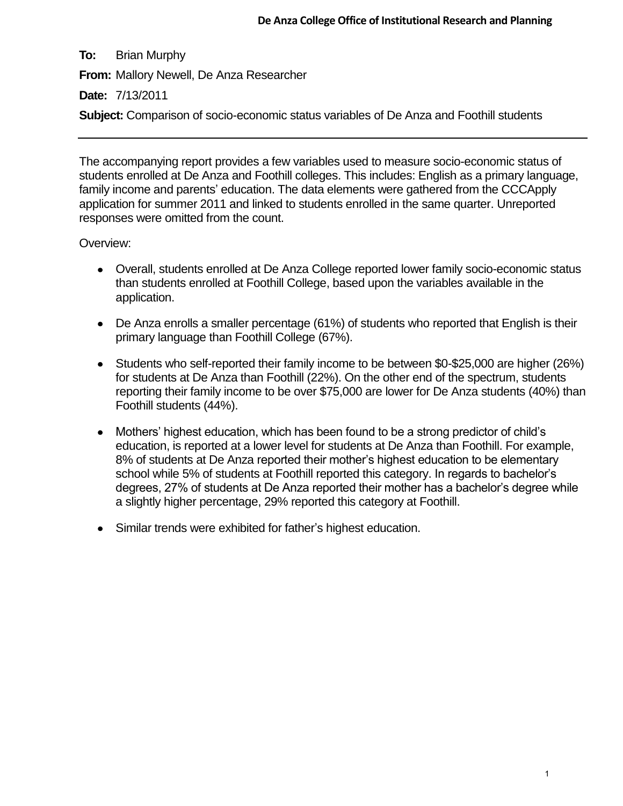**To:** Brian Murphy **From:** Mallory Newell, De Anza Researcher **Date:** 7/13/2011 **Subject:** Comparison of socio-economic status variables of De Anza and Foothill students

The accompanying report provides a few variables used to measure socio-economic status of students enrolled at De Anza and Foothill colleges. This includes: English as a primary language, family income and parents' education. The data elements were gathered from the CCCApply application for summer 2011 and linked to students enrolled in the same quarter. Unreported responses were omitted from the count.

## Overview:

- Overall, students enrolled at De Anza College reported lower family socio-economic status than students enrolled at Foothill College, based upon the variables available in the application.
- De Anza enrolls a smaller percentage (61%) of students who reported that English is their primary language than Foothill College (67%).
- Students who self-reported their family income to be between \$0-\$25,000 are higher (26%) for students at De Anza than Foothill (22%). On the other end of the spectrum, students reporting their family income to be over \$75,000 are lower for De Anza students (40%) than Foothill students (44%).
- Mothers' highest education, which has been found to be a strong predictor of child's education, is reported at a lower level for students at De Anza than Foothill. For example, 8% of students at De Anza reported their mother's highest education to be elementary school while 5% of students at Foothill reported this category. In regards to bachelor's degrees, 27% of students at De Anza reported their mother has a bachelor's degree while a slightly higher percentage, 29% reported this category at Foothill.
- Similar trends were exhibited for father's highest education.